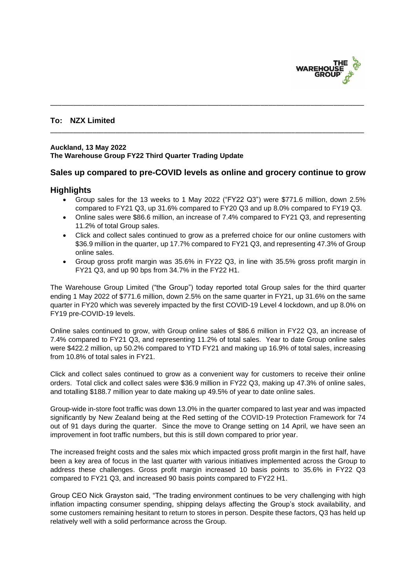

### **To: NZX Limited**

#### **Auckland, 13 May 2022 The Warehouse Group FY22 Third Quarter Trading Update**

### **Sales up compared to pre-COVID levels as online and grocery continue to grow**

\_\_\_\_\_\_\_\_\_\_\_\_\_\_\_\_\_\_\_\_\_\_\_\_\_\_\_\_\_\_\_\_\_\_\_\_\_\_\_\_\_\_\_\_\_\_\_\_\_\_\_\_\_\_\_\_\_\_\_\_\_\_\_\_\_\_\_\_\_\_\_\_\_\_\_\_\_\_\_\_\_\_

\_\_\_\_\_\_\_\_\_\_\_\_\_\_\_\_\_\_\_\_\_\_\_\_\_\_\_\_\_\_\_\_\_\_\_\_\_\_\_\_\_\_\_\_\_\_\_\_\_\_\_\_\_\_\_\_\_\_\_\_\_\_\_\_\_\_\_\_\_\_\_\_\_\_\_\_\_\_\_\_\_\_

### **Highlights**

- Group sales for the 13 weeks to 1 May 2022 ("FY22 Q3") were \$771.6 million, down 2.5% compared to FY21 Q3, up 31.6% compared to FY20 Q3 and up 8.0% compared to FY19 Q3.
- Online sales were \$86.6 million, an increase of 7.4% compared to FY21 Q3, and representing 11.2% of total Group sales.
- Click and collect sales continued to grow as a preferred choice for our online customers with \$36.9 million in the quarter, up 17.7% compared to FY21 Q3, and representing 47.3% of Group online sales.
- Group gross profit margin was 35.6% in FY22 Q3, in line with 35.5% gross profit margin in FY21 Q3, and up 90 bps from 34.7% in the FY22 H1.

The Warehouse Group Limited ("the Group") today reported total Group sales for the third quarter ending 1 May 2022 of \$771.6 million, down 2.5% on the same quarter in FY21, up 31.6% on the same quarter in FY20 which was severely impacted by the first COVID-19 Level 4 lockdown, and up 8.0% on FY19 pre-COVID-19 levels.

Online sales continued to grow, with Group online sales of \$86.6 million in FY22 Q3, an increase of 7.4% compared to FY21 Q3, and representing 11.2% of total sales. Year to date Group online sales were \$422.2 million, up 50.2% compared to YTD FY21 and making up 16.9% of total sales, increasing from 10.8% of total sales in FY21.

Click and collect sales continued to grow as a convenient way for customers to receive their online orders. Total click and collect sales were \$36.9 million in FY22 Q3, making up 47.3% of online sales, and totalling \$188.7 million year to date making up 49.5% of year to date online sales.

Group-wide in-store foot traffic was down 13.0% in the quarter compared to last year and was impacted significantly by New Zealand being at the Red setting of the COVID-19 Protection Framework for 74 out of 91 days during the quarter. Since the move to Orange setting on 14 April, we have seen an improvement in foot traffic numbers, but this is still down compared to prior year.

The increased freight costs and the sales mix which impacted gross profit margin in the first half, have been a key area of focus in the last quarter with various initiatives implemented across the Group to address these challenges. Gross profit margin increased 10 basis points to 35.6% in FY22 Q3 compared to FY21 Q3, and increased 90 basis points compared to FY22 H1.

Group CEO Nick Grayston said, "The trading environment continues to be very challenging with high inflation impacting consumer spending, shipping delays affecting the Group's stock availability, and some customers remaining hesitant to return to stores in person. Despite these factors, Q3 has held up relatively well with a solid performance across the Group.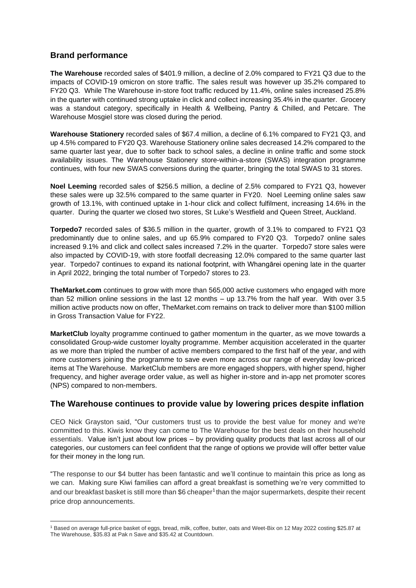## **Brand performance**

**The Warehouse** recorded sales of \$401.9 million, a decline of 2.0% compared to FY21 Q3 due to the impacts of COVID-19 omicron on store traffic. The sales result was however up 35.2% compared to FY20 Q3. While The Warehouse in-store foot traffic reduced by 11.4%, online sales increased 25.8% in the quarter with continued strong uptake in click and collect increasing 35.4% in the quarter. Grocery was a standout category, specifically in Health & Wellbeing, Pantry & Chilled, and Petcare. The Warehouse Mosgiel store was closed during the period.

**Warehouse Stationery** recorded sales of \$67.4 million, a decline of 6.1% compared to FY21 Q3, and up 4.5% compared to FY20 Q3. Warehouse Stationery online sales decreased 14.2% compared to the same quarter last year, due to softer back to school sales, a decline in online traffic and some stock availability issues. The Warehouse Stationery store-within-a-store (SWAS) integration programme continues, with four new SWAS conversions during the quarter, bringing the total SWAS to 31 stores.

**Noel Leeming** recorded sales of \$256.5 million, a decline of 2.5% compared to FY21 Q3, however these sales were up 32.5% compared to the same quarter in FY20. Noel Leeming online sales saw growth of 13.1%, with continued uptake in 1-hour click and collect fulfilment, increasing 14.6% in the quarter. During the quarter we closed two stores, St Luke's Westfield and Queen Street, Auckland.

**Torpedo7** recorded sales of \$36.5 million in the quarter, growth of 3.1% to compared to FY21 Q3 predominantly due to online sales, and up 65.9% compared to FY20 Q3. Torpedo7 online sales increased 9.1% and click and collect sales increased 7.2% in the quarter. Torpedo7 store sales were also impacted by COVID-19, with store footfall decreasing 12.0% compared to the same quarter last year. Torpedo7 continues to expand its national footprint, with Whangārei opening late in the quarter in April 2022, bringing the total number of Torpedo7 stores to 23.

**TheMarket.com** continues to grow with more than 565,000 active customers who engaged with more than 52 million online sessions in the last 12 months – up 13.7% from the half year. With over 3.5 million active products now on offer, TheMarket.com remains on track to deliver more than \$100 million in Gross Transaction Value for FY22.

**MarketClub** loyalty programme continued to gather momentum in the quarter, as we move towards a consolidated Group-wide customer loyalty programme. Member acquisition accelerated in the quarter as we more than tripled the number of active members compared to the first half of the year, and with more customers joining the programme to save even more across our range of everyday low-priced items at The Warehouse. MarketClub members are more engaged shoppers, with higher spend, higher frequency, and higher average order value, as well as higher in-store and in-app net promoter scores (NPS) compared to non-members.

### **The Warehouse continues to provide value by lowering prices despite inflation**

CEO Nick Grayston said, "Our customers trust us to provide the best value for money and we're committed to this. Kiwis know they can come to The Warehouse for the best deals on their household essentials. Value isn't just about low prices – by providing quality products that last across all of our categories, our customers can feel confident that the range of options we provide will offer better value for their money in the long run.

"The response to our \$4 butter has been fantastic and we'll continue to maintain this price as long as we can. Making sure Kiwi families can afford a great breakfast is something we're very committed to and our breakfast basket is still more than \$6 cheaper<sup>1</sup> than the major supermarkets, despite their recent price drop announcements.

<sup>1</sup> Based on average full-price basket of eggs, bread, milk, coffee, butter, oats and Weet-Bix on 12 May 2022 costing \$25.87 at The Warehouse, \$35.83 at Pak n Save and \$35.42 at Countdown.